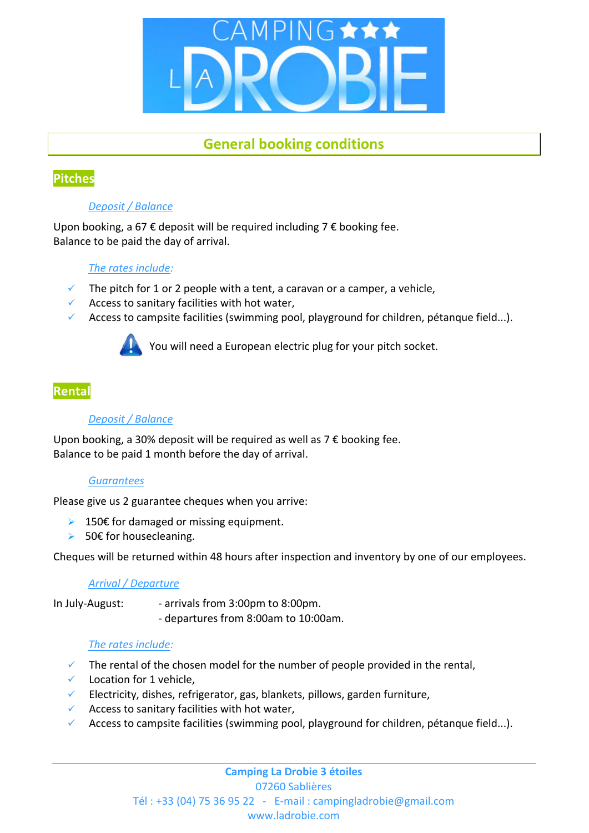

# **General booking conditions**

## **Pitches**

## *Deposit / Balance*

Upon booking, a 67  $\epsilon$  deposit will be required including 7  $\epsilon$  booking fee. Balance to be paid the day of arrival.

## *The rates include:*

- The pitch for 1 or 2 people with a tent, a caravan or a camper, a vehicle,
- $\checkmark$  Access to sanitary facilities with hot water,
- Access to campsite facilities (swimming pool, playground for children, pétanque field...).



You will need a European electric plug for your pitch socket.

## **Rental**

## *Deposit / Balance*

Upon booking, a 30% deposit will be required as well as  $7 \in$  booking fee. Balance to be paid 1 month before the day of arrival.

## *Guarantees*

Please give us 2 guarantee cheques when you arrive:

- $▶ 150€$  for damaged or missing equipment.
- $>$  50€ for housecleaning.

Cheques will be returned within 48 hours after inspection and inventory by one of our employees.

#### *Arrival / Departure*

In July-August: - arrivals from 3:00pm to 8:00pm.

‐ departures from 8:00am to 10:00am.

## *The rates include:*

- $\checkmark$  The rental of the chosen model for the number of people provided in the rental,
- $\checkmark$  Location for 1 vehicle,
- Electricity, dishes, refrigerator, gas, blankets, pillows, garden furniture,
- $\checkmark$  Access to sanitary facilities with hot water,
- Access to campsite facilities (swimming pool, playground for children, pétanque field...).